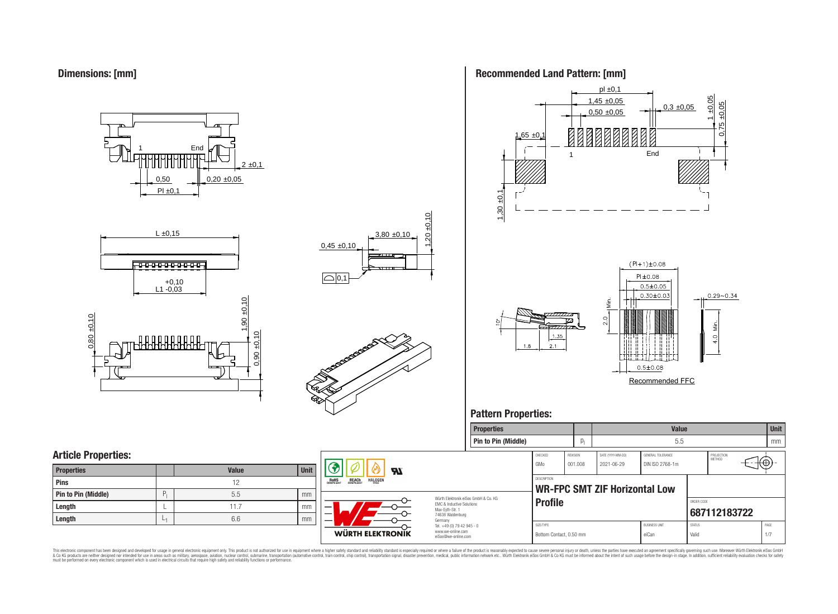**Dimensions: [mm]**

0,50  $PI \pm 0.1$  $0,20 \pm 0,05$  $2 \pm 0,1$ **End** 







# **Recommended Land Pattern: [mm]**



**Properties Value Unit**

**Pattern Properties:**

#### **Pin to Pin (Middle)** p<sup>l</sup> 5.5 mm **Article Properties:** CHECKED REVISION DATE (YYYY-MM-DD) GENERAL TOLERANCE PROJECTION<br>METHOD 7@ GMo 001.008 2021-06-29 DIN ISO 2768-1m (1  $\boldsymbol{\mathcal{H}}$ **Properties Value Unit DESCRIPTION ROHS REACH HALOGEN Pins** 12 **WR-FPC SMT ZIF Horizontal Low Pin to Pin (Middle) P**<sub>1</sub> **P**<sub>1</sub> **e**<sub>1</sub> **p**<sub>1</sub> **p**<sub>1</sub> **p**<sub>1</sub> **p**<sub>1</sub> **p**<sub>1</sub> **p**<sub>1</sub> **p**<sub>1</sub> **p**<sub>1</sub> **p**<sub>1</sub> **p**<sub>1</sub> **p**<sub>1</sub> **p**<sub>1</sub> **p**<sub>1</sub> **p**<sub>1</sub> **p**<sub>1</sub> **p**<sub>1</sub> **p**<sub>1</sub> **p**<sub>1</sub> **p**<sub>1</sub> **p**<sub>1</sub> **p**<sub>1</sub> **p**<sub>1</sub> **p**<sub>1</sub> **p**<sub>1</sub> **p**<sub>1</sub> **p**<sub></sub> Würth Elektronik eiSos GmbH & Co. KG **Profile** *Profile* EMC & Inductive Solutions **Length**  $\vert \begin{array}{ccc} \downarrow \end{array}$  **L**  $\vert$  **L**  $\vert$   $\vert$   $\vert$   $\vert$  mm Max-Eyth-Str. 1 **[687112183722](https://www.we-online.com/catalog/en/article/687112183722)** 74638 Waldenburg **Length** L 1 6.6 mm Germany Tel. +49 (0) 79 42 945 - 0 SIZE/TYPE BUSINESS UNIT STATUS PAGE www.we-online.com **WÜRTH ELEKTRONIK** Bottom Contact, 0.50 mm eiCan value eiCan Valid Valid 1/7 eiSos@we-online.com

This electronic component has been designed and developed for usage in general electronic equipment only. This product is not authorized for use in equipment where a higher safely standard and reliability standard si espec & Ook product a label and the membed of the seasuch as marked and as which such a membed and the such assume that income in the seasuch and the simulation and the such assume that include to the such a membed and the such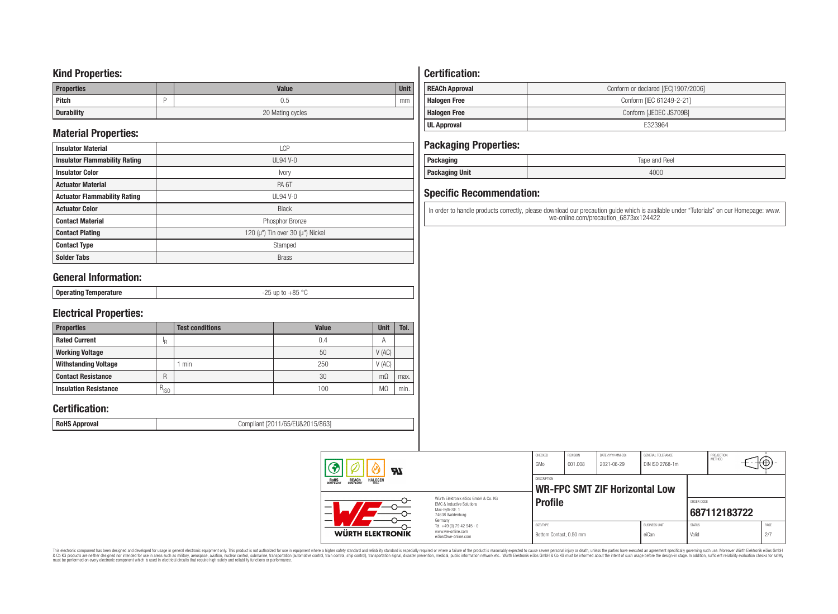# **Kind Properties:**

| <b>Properties</b> | <b>Value</b>     | <b>Unit</b> |  |  |  |  |
|-------------------|------------------|-------------|--|--|--|--|
| Pitch             | U.5              | mm          |  |  |  |  |
| <b>Durability</b> | 20 Mating cycles |             |  |  |  |  |

# **Material Properties:**

| <b>Insulator Material</b>            | <b>LCP</b>                                   |  |  |  |  |  |
|--------------------------------------|----------------------------------------------|--|--|--|--|--|
| <b>Insulator Flammability Rating</b> | $UL94$ V-0                                   |  |  |  |  |  |
| <b>Insulator Color</b>               | Ivory                                        |  |  |  |  |  |
| <b>Actuator Material</b>             | PA <sub>6</sub> T                            |  |  |  |  |  |
| <b>Actuator Flammability Rating</b>  | UL94 V- $0$                                  |  |  |  |  |  |
| <b>Actuator Color</b>                | <b>Black</b>                                 |  |  |  |  |  |
| <b>Contact Material</b>              | Phosphor Bronze                              |  |  |  |  |  |
| <b>Contact Plating</b>               | 120 ( $\mu$ ") Tin over 30 ( $\mu$ ") Nickel |  |  |  |  |  |
| <b>Contact Type</b>                  | Stamped                                      |  |  |  |  |  |
| <b>Solder Tabs</b>                   | <b>Brass</b>                                 |  |  |  |  |  |

# **General Information:**

| $\sim$ |
|--------|
|--------|

# **Electrical Properties:**

| <b>Properties</b>            |           | <b>Test conditions</b> | Value | <b>Unit</b>    | Tol. |
|------------------------------|-----------|------------------------|-------|----------------|------|
| <b>Rated Current</b>         | ΙR        |                        | 0.4   | $\overline{A}$ |      |
| <b>Working Voltage</b>       |           |                        | 50    | V(AC)          |      |
| <b>Withstanding Voltage</b>  |           | min                    | 250   | V(AC)          |      |
| <b>Contact Resistance</b>    | R         |                        | 30    | $m\Omega$      | max. |
| <b>Insulation Resistance</b> | $R_{ISO}$ |                        | 100   | M.             | min. |

# **Certification:**

**RoHS Approval RoHS Approval Compliant** [2011/65/EU&2015/863]

# **Certification:**

| <b>REACh Approval</b> | Conform or declared [(EC)1907/2006] |
|-----------------------|-------------------------------------|
| <b>Halogen Free</b>   | Conform [IEC 61249-2-21]            |
| <b>Halogen Free</b>   | Conform [JEDEC JS709B]              |
| UL Approval           | F323964                             |

# **Packaging Properties:**

| . aundyniy                | Reel<br>lape<br>and |
|---------------------------|---------------------|
| <b>Unit</b><br>rackayılıy | 4000                |

# **Specific Recommendation:**

In order to handle products correctly, please download our precaution guide which is available under "Tutorials" on our Homepage: www. we-online.com/precaution\_6873xx124422

| Яï<br>ROHS<br>COMPLIANT<br><b>REACH</b><br>COMPLIANT<br><b>HALOGEN</b><br>Würth Elektronik eiSos GmbH & Co. KG<br>FMC & Inductive Solutions<br>Max-Evth-Str. 1<br>74638 Waldenburg<br>Germany |                                                                        | CHECKED<br>GMo                       | REVISION<br>001.008 | DATE (YYYY-MM-DD)<br>2021-06-29      | GENERAL TOLERANCE<br>DIN ISO 2768-1m |                        | PROJECTION<br>METHOD | ιτΨ         |  |
|-----------------------------------------------------------------------------------------------------------------------------------------------------------------------------------------------|------------------------------------------------------------------------|--------------------------------------|---------------------|--------------------------------------|--------------------------------------|------------------------|----------------------|-------------|--|
|                                                                                                                                                                                               |                                                                        | <b>DESCRIPTION</b>                   |                     | <b>WR-FPC SMT ZIF Horizontal Low</b> |                                      |                        |                      |             |  |
|                                                                                                                                                                                               |                                                                        | <b>Profile</b>                       |                     |                                      |                                      | ORDER CODE             | 687112183722         |             |  |
| <b>WÜRTH ELEKTRONIK</b>                                                                                                                                                                       | Tel. +49 (0) 79 42 945 - 0<br>www.we-online.com<br>eiSos@we-online.com | SIZE/TYPE<br>Bottom Contact, 0.50 mm |                     |                                      | <b>BUSINESS UNIT</b><br>eiCan        | <b>STATUS</b><br>Valid |                      | PAGE<br>2/7 |  |

This electronic component has been designed and developed for usage in general electronic equipment only. This product is not authorized for subserved requipment where a higher selection equipment where a higher selection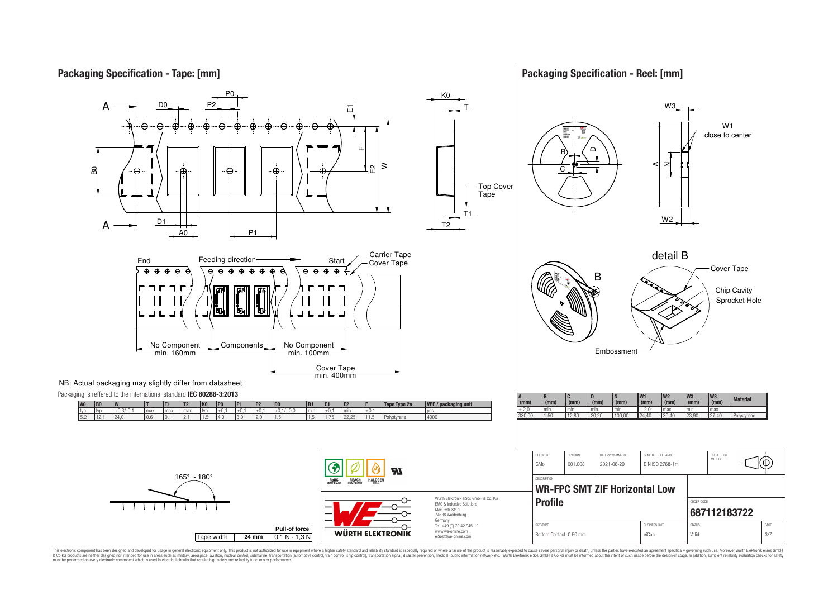# **Packaging Specification - Tape: [mm]**

## **Packaging Specification - Reel: [mm]**



This electronic component has been designed and developed for usage in general electronic equipment only. This product is not authorized for use in equipment where a higher safely standard and reliability standard si espec & Ook product a label and the membed of the seasuch as marked and as which such a membed and the such assume that income in the seasuch and the simulation and the such assume that include to the such a membed and the such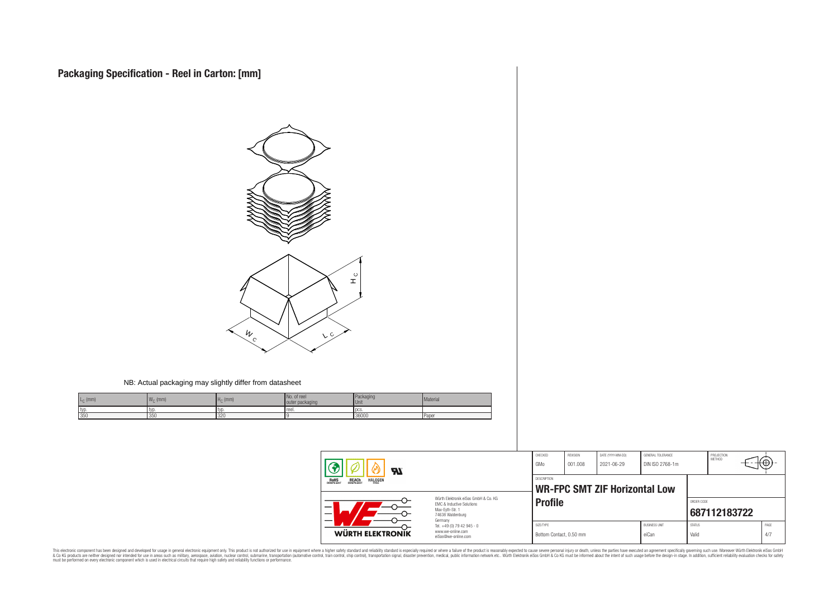

#### NB: Actual packaging may slightly differ from datasheet

| $L_{\odot}$ (mm) | $\overline{M}$<br>$\cdot$ (mm)<br>4 V V O | H <sub>c</sub><br>(mm) | . of reel<br>packaging<br>outer | Packaging<br><b>Unit</b> | Material |
|------------------|-------------------------------------------|------------------------|---------------------------------|--------------------------|----------|
| typ              | typ                                       | .tvr                   | reel.                           | l oc:                    |          |
| 350              | 350                                       | 320                    |                                 | 36000                    | Paper    |

| Яľ<br><b>HALOGEN</b><br>REACH<br>COMPLIANT<br>ROHS<br>COMPLIANT |                                                                                                          | CHECKED<br>GMo                                      | REVISION<br>001.008 | DATE (YYYY-MM-DD)<br>2021-06-29 | GENERAL TOLERANCE<br>DIN ISO 2768-1m |                        | PROJECTION<br><b>METHOD</b> | ⊦⊕          |
|-----------------------------------------------------------------|----------------------------------------------------------------------------------------------------------|-----------------------------------------------------|---------------------|---------------------------------|--------------------------------------|------------------------|-----------------------------|-------------|
|                                                                 |                                                                                                          | DESCRIPTION<br><b>WR-FPC SMT ZIF Horizontal Low</b> |                     |                                 |                                      |                        |                             |             |
| –                                                               | Würth Elektronik eiSos GmbH & Co. KG<br>EMC & Inductive Solutions<br>Max-Evth-Str. 1<br>74638 Waldenburg | <b>Profile</b>                                      |                     |                                 |                                      | ORDER CODE             | 687112183722                |             |
| WÜRTH ELEKTRONIK                                                | Germany<br>Tel. +49 (0) 79 42 945 - 0<br>www.we-online.com<br>eiSos@we-online.com                        | SIZE/TYPE<br>Bottom Contact, 0.50 mm                |                     |                                 | <b>BUSINESS UNIT</b><br>eiCan        | <b>STATUS</b><br>Valid |                             | PAGE<br>4/7 |

This electronic component has been designed and developed for usage in general electronic equipment only. This product is not authorized for subserved requipment where a higher selection equipment where a higher selection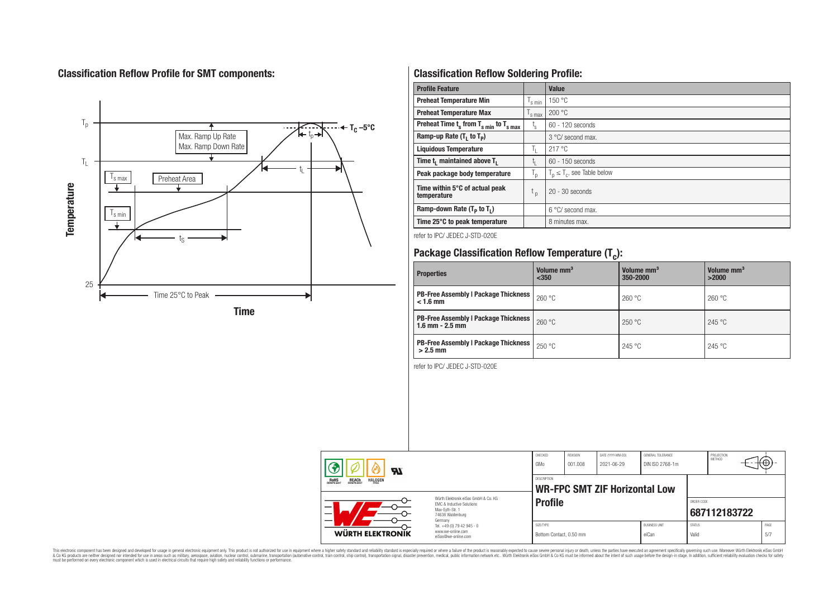# **Classification Reflow Profile for SMT components:**



# **Classification Reflow Soldering Profile:**

| <b>Profile Feature</b>                              |                    | <b>Value</b>                     |
|-----------------------------------------------------|--------------------|----------------------------------|
| <b>Preheat Temperature Min</b>                      | $\frac{1}{s}$ min  | 150 °C                           |
| <b>Preheat Temperature Max</b>                      | $\mathsf{I}$ s max | 200 °C                           |
| Preheat Time $t_s$ from $T_{s min}$ to $T_{s max}$  | t,                 | $60 - 120$ seconds               |
| Ramp-up Rate $(T_1$ to $T_p$ )                      |                    | $3^{\circ}$ C/ second max.       |
| <b>Liquidous Temperature</b>                        | T,                 | 217 °C                           |
| Time t <sub>i</sub> maintained above T <sub>1</sub> | t,                 | 60 - 150 seconds                 |
| Peak package body temperature                       | T <sub>o</sub>     | $T_p \leq T_c$ , see Table below |
| Time within 5°C of actual peak<br>temperature       | $t_{p}$            | $20 - 30$ seconds                |
| Ramp-down Rate $(T_p$ to $T_1$ )                    |                    | $6^{\circ}$ C/ second max.       |
| Time 25°C to peak temperature                       |                    | 8 minutes max.                   |

refer to IPC/ JEDEC J-STD-020E

# **Package Classification Reflow Temperature (T<sup>c</sup> ):**

| <b>Properties</b>                                                  | Volume mm <sup>3</sup><br>$350$ | Volume mm <sup>3</sup><br>350-2000 | Volume mm <sup>3</sup><br>>2000 |
|--------------------------------------------------------------------|---------------------------------|------------------------------------|---------------------------------|
| <b>PB-Free Assembly   Package Thickness</b><br>$< 1.6$ mm          | 260 °C                          | 260 °C                             | 260 °C                          |
| <b>PB-Free Assembly   Package Thickness</b><br>$1.6$ mm $- 2.5$ mm | 260 °C                          | 250 °C                             | 245 °C                          |
| <b>PB-Free Assembly   Package Thickness  </b><br>$>2.5$ mm         | 250 °C                          | 245 °C                             | 245 °C                          |

refer to IPC/ JEDEC J-STD-020E

| Яl                                                                                                                                                                                                                                      |                                                                                   | CHECKED<br>GMo                       | <b>REVISION</b><br>001.008 | DATE (YYYY-MM-DD)<br>2021-06-29      | <b>GENERAL TOLERANCE</b><br>DIN ISO 2768-1m |                        | PROJECTION<br><b>METHOD</b> | ┉ᡃ          |
|-----------------------------------------------------------------------------------------------------------------------------------------------------------------------------------------------------------------------------------------|-----------------------------------------------------------------------------------|--------------------------------------|----------------------------|--------------------------------------|---------------------------------------------|------------------------|-----------------------------|-------------|
| <b>REACH</b><br>COMPLIANT<br><b>HALOGEN</b><br><b>ROHS</b><br>COMPLIANT<br>FRFF<br>Würth Flektronik eiSos GmbH & Co. KG<br><b>EMC &amp; Inductive Solutions</b><br>-<br>Max-Evth-Str. 1<br>$\overline{\phantom{0}}$<br>74638 Waldenburg |                                                                                   | <b>DESCRIPTION</b>                   |                            | <b>WR-FPC SMT ZIF Horizontal Low</b> |                                             |                        |                             |             |
|                                                                                                                                                                                                                                         |                                                                                   | <b>Profile</b>                       |                            |                                      |                                             | ORDER CODE             | 687112183722                |             |
| <b>WÜRTH ELEKTRONIK</b>                                                                                                                                                                                                                 | Germany<br>Tel. +49 (0) 79 42 945 - 0<br>www.we-online.com<br>eiSos@we-online.com | SIZE/TYPE<br>Bottom Contact, 0.50 mm |                            |                                      | <b>BUSINESS UNIT</b><br>eiCan               | <b>STATUS</b><br>Valid |                             | PAGE<br>5/7 |

This electronic component has been designed and developed for usage in general electronic equipment only. This product is not authorized for subserved requipment where a higher selection equipment where a higher selection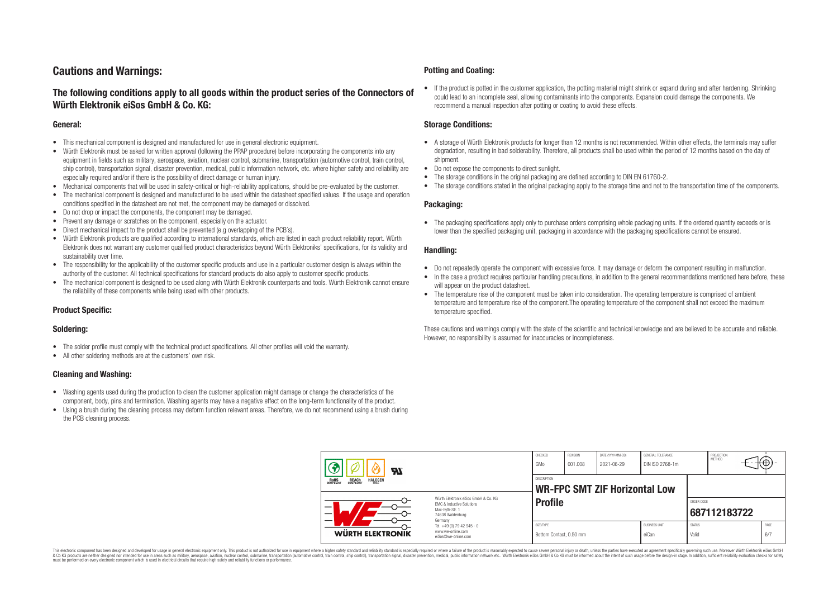# **Cautions and Warnings:**

# **The following conditions apply to all goods within the product series of the Connectors of Würth Elektronik eiSos GmbH & Co. KG:**

#### **General:**

- This mechanical component is designed and manufactured for use in general electronic equipment.
- Würth Elektronik must be asked for written approval (following the PPAP procedure) before incorporating the components into any equipment in fields such as military, aerospace, aviation, nuclear control, submarine, transportation (automotive control, train control, ship control), transportation signal, disaster prevention, medical, public information network, etc. where higher safety and reliability are especially required and/or if there is the possibility of direct damage or human injury.
- Mechanical components that will be used in safety-critical or high-reliability applications, should be pre-evaluated by the customer.
- The mechanical component is designed and manufactured to be used within the datasheet specified values. If the usage and operation conditions specified in the datasheet are not met, the component may be damaged or dissolved.
- Do not drop or impact the components, the component may be damaged.
- Prevent any damage or scratches on the component, especially on the actuator.
- Direct mechanical impact to the product shall be prevented (e.g overlapping of the PCB's).
- Würth Elektronik products are qualified according to international standards, which are listed in each product reliability report. Würth Elektronik does not warrant any customer qualified product characteristics beyond Würth Elektroniks' specifications, for its validity and sustainability over time.
- The responsibility for the applicability of the customer specific products and use in a particular customer design is always within the authority of the customer. All technical specifications for standard products do also apply to customer specific products.
- The mechanical component is designed to be used along with Würth Elektronik counterparts and tools. Würth Elektronik cannot ensure the reliability of these components while being used with other products.

### **Product Specific:**

#### **Soldering:**

- The solder profile must comply with the technical product specifications. All other profiles will void the warranty.
- All other soldering methods are at the customers' own risk.

#### **Cleaning and Washing:**

- Washing agents used during the production to clean the customer application might damage or change the characteristics of the component, body, pins and termination. Washing agents may have a negative effect on the long-term functionality of the product.
- Using a brush during the cleaning process may deform function relevant areas. Therefore, we do not recommend using a brush during the PCB cleaning process.

#### **Potting and Coating:**

• If the product is potted in the customer application, the potting material might shrink or expand during and after hardening. Shrinking could lead to an incomplete seal, allowing contaminants into the components. Expansion could damage the components. We recommend a manual inspection after potting or coating to avoid these effects.

#### **Storage Conditions:**

- A storage of Würth Elektronik products for longer than 12 months is not recommended. Within other effects, the terminals may suffer degradation, resulting in bad solderability. Therefore, all products shall be used within the period of 12 months based on the day of shipment.
- Do not expose the components to direct sunlight.
- The storage conditions in the original packaging are defined according to DIN EN 61760-2.
- The storage conditions stated in the original packaging apply to the storage time and not to the transportation time of the components.

#### **Packaging:**

• The packaging specifications apply only to purchase orders comprising whole packaging units. If the ordered quantity exceeds or is lower than the specified packaging unit, packaging in accordance with the packaging specifications cannot be ensured.

#### **Handling:**

- Do not repeatedly operate the component with excessive force. It may damage or deform the component resulting in malfunction.
- In the case a product requires particular handling precautions, in addition to the general recommendations mentioned here before, these will appear on the product datasheet
- The temperature rise of the component must be taken into consideration. The operating temperature is comprised of ambient temperature and temperature rise of the component.The operating temperature of the component shall not exceed the maximum temperature specified.

These cautions and warnings comply with the state of the scientific and technical knowledge and are believed to be accurate and reliable. However, no responsibility is assumed for inaccuracies or incompleteness.

| Яľ<br><b>REACH</b><br>COMPLIANT<br><b>HALOGEN</b><br>ROHS<br>COMPLIANT |                                                                                                                     | CHECKED<br>GMo                                             | REVISION<br>001.008 | DATE (YYYY-MM-DD)<br>2021-06-29 | GENERAL TOLERANCE<br>DIN ISO 2768-1m |                            | PROJECTION<br><b>METHOD</b> | ۰₩.  |     |
|------------------------------------------------------------------------|---------------------------------------------------------------------------------------------------------------------|------------------------------------------------------------|---------------------|---------------------------------|--------------------------------------|----------------------------|-----------------------------|------|-----|
|                                                                        |                                                                                                                     | <b>DESCRIPTION</b><br><b>WR-FPC SMT ZIF Horizontal Low</b> |                     |                                 |                                      |                            |                             |      |     |
|                                                                        | Würth Flektronik eiSos GmbH & Co. KG<br>FMC & Inductive Solutions<br>Max-Evth-Str. 1<br>74638 Waldenburg<br>Germany | <b>Profile</b>                                             |                     |                                 |                                      | ORDER CODE<br>687112183722 |                             |      |     |
| <b>WÜRTH ELEKTRONIK</b>                                                | Tel. +49 (0) 79 42 945 - 0<br>www.we-online.com<br>eiSos@we-online.com                                              | SIZE/TYPE                                                  |                     |                                 | <b>BUSINESS UNIT</b>                 | <b>STATUS</b>              |                             | PAGE | 6/7 |

This electronic component has been designed and developed for usage in general electronic equipment only. This product is not authorized for use in equipment where a higher safety standard and reliability standard si espec & Ook product a label and the membed of the seasuch as marked and as which such a membed and the such assume that income in the seasuch and the simulation and the such assume that include to the such a membed and the such